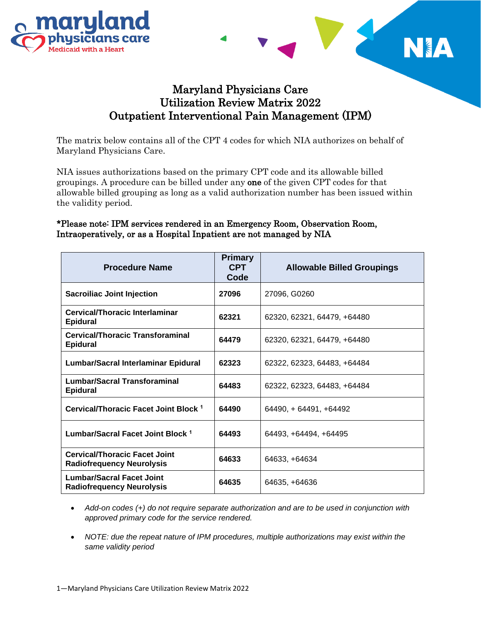



## Maryland Physicians Care Utilization Review Matrix 2022 Outpatient Interventional Pain Management (IPM)

The matrix below contains all of the CPT 4 codes for which NIA authorizes on behalf of Maryland Physicians Care.

NIA issues authorizations based on the primary CPT code and its allowable billed groupings. A procedure can be billed under any one of the given CPT codes for that allowable billed grouping as long as a valid authorization number has been issued within the validity period.

## \*Please note: IPM services rendered in an Emergency Room, Observation Room, Intraoperatively, or as a Hospital Inpatient are not managed by NIA

| <b>Procedure Name</b>                                                    | <b>Primary</b><br><b>CPT</b><br>Code | <b>Allowable Billed Groupings</b> |
|--------------------------------------------------------------------------|--------------------------------------|-----------------------------------|
| <b>Sacroiliac Joint Injection</b>                                        | 27096                                | 27096, G0260                      |
| Cervical/Thoracic Interlaminar<br><b>Epidural</b>                        | 62321                                | 62320, 62321, 64479, +64480       |
| Cervical/Thoracic Transforaminal<br><b>Epidural</b>                      | 64479                                | 62320, 62321, 64479, +64480       |
| Lumbar/Sacral Interlaminar Epidural                                      | 62323                                | 62322, 62323, 64483, +64484       |
| <b>Lumbar/Sacral Transforaminal</b><br><b>Epidural</b>                   | 64483                                | 62322, 62323, 64483, +64484       |
| Cervical/Thoracic Facet Joint Block <sup>1</sup>                         | 64490                                | $64490 + 64491 + 64492$           |
| Lumbar/Sacral Facet Joint Block <sup>1</sup>                             | 64493                                | 64493, +64494, +64495             |
| <b>Cervical/Thoracic Facet Joint</b><br><b>Radiofrequency Neurolysis</b> | 64633                                | 64633, +64634                     |
| <b>Lumbar/Sacral Facet Joint</b><br><b>Radiofrequency Neurolysis</b>     | 64635                                | 64635, +64636                     |

- *Add-on codes (+) do not require separate authorization and are to be used in conjunction with approved primary code for the service rendered.*
- *NOTE: due the repeat nature of IPM procedures, multiple authorizations may exist within the same validity period*